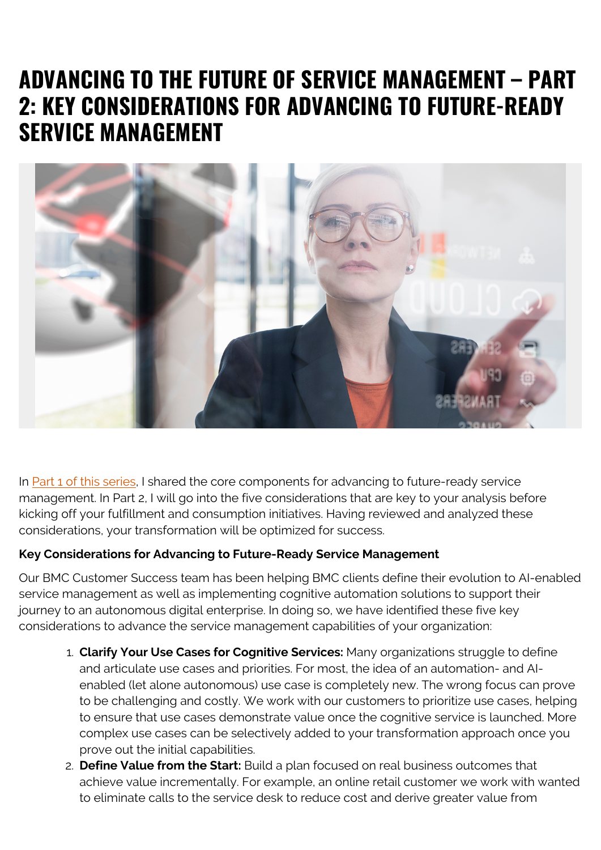## **ADVANCING TO THE FUTURE OF SERVICE MANAGEMENT – PART 2: KEY CONSIDERATIONS FOR ADVANCING TO FUTURE-READY SERVICE MANAGEMENT**



In [Part 1 of this series,](https://blogs.bmc.com/blogs/core-components-of-future-ready-service-management/) I shared the core components for advancing to future-ready service management. In Part 2, I will go into the five considerations that are key to your analysis before kicking off your fulfillment and consumption initiatives. Having reviewed and analyzed these considerations, your transformation will be optimized for success.

## **Key Considerations for Advancing to Future-Ready Service Management**

Our BMC Customer Success team has been helping BMC clients define their evolution to AI-enabled service management as well as implementing cognitive automation solutions to support their journey to an autonomous digital enterprise. In doing so, we have identified these five key considerations to advance the service management capabilities of your organization:

- 1. **Clarify Your Use Cases for Cognitive Services:** Many organizations struggle to define and articulate use cases and priorities. For most, the idea of an automation- and AIenabled (let alone autonomous) use case is completely new. The wrong focus can prove to be challenging and costly. We work with our customers to prioritize use cases, helping to ensure that use cases demonstrate value once the cognitive service is launched. More complex use cases can be selectively added to your transformation approach once you prove out the initial capabilities.
- 2. **Define Value from the Start:** Build a plan focused on real business outcomes that achieve value incrementally. For example, an online retail customer we work with wanted to eliminate calls to the service desk to reduce cost and derive greater value from